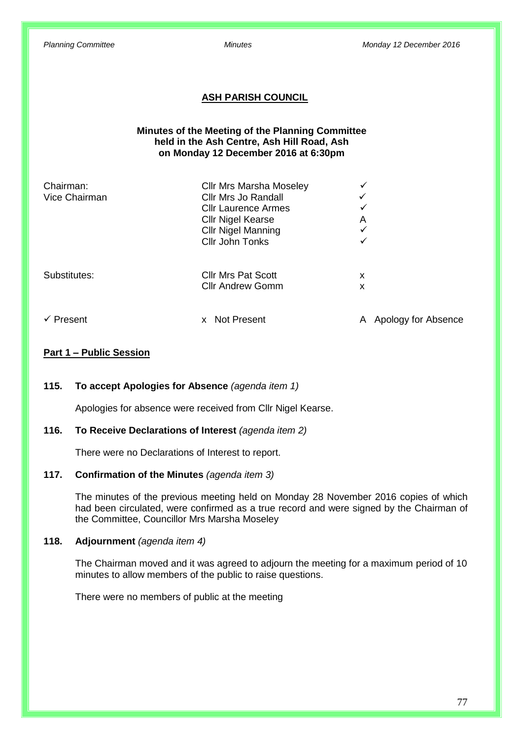### **ASH PARISH COUNCIL**

#### **Minutes of the Meeting of the Planning Committee held in the Ash Centre, Ash Hill Road, Ash on Monday 12 December 2016 at 6:30pm**

| Chairman:<br>Vice Chairman | <b>Cllr Mrs Marsha Moseley</b><br>Cllr Mrs Jo Randall<br><b>Cllr Laurence Armes</b><br><b>Cllr Nigel Kearse</b><br><b>Cllr Nigel Manning</b><br><b>Cllr John Tonks</b> | ✓<br>✓<br>✓<br>A<br>✓<br>✓ |
|----------------------------|------------------------------------------------------------------------------------------------------------------------------------------------------------------------|----------------------------|
| Substitutes:               | <b>Cllr Mrs Pat Scott</b><br><b>Cllr Andrew Gomm</b>                                                                                                                   | x<br>х                     |
| $\checkmark$ Present       | <b>Not Present</b><br><b>X</b>                                                                                                                                         | Apology for Absence<br>A   |

#### **Part 1 – Public Session**

#### **115. To accept Apologies for Absence** *(agenda item 1)*

Apologies for absence were received from Cllr Nigel Kearse.

#### **116. To Receive Declarations of Interest** *(agenda item 2)*

There were no Declarations of Interest to report.

#### **117. Confirmation of the Minutes** *(agenda item 3)*

The minutes of the previous meeting held on Monday 28 November 2016 copies of which had been circulated, were confirmed as a true record and were signed by the Chairman of the Committee, Councillor Mrs Marsha Moseley

## **118. Adjournment** *(agenda item 4)*

The Chairman moved and it was agreed to adjourn the meeting for a maximum period of 10 minutes to allow members of the public to raise questions.

There were no members of public at the meeting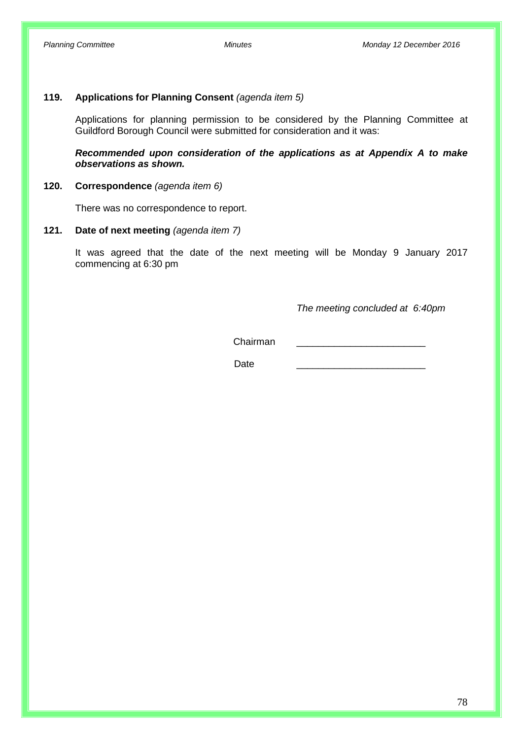#### **119. Applications for Planning Consent** *(agenda item 5)*

Applications for planning permission to be considered by the Planning Committee at Guildford Borough Council were submitted for consideration and it was:

*Recommended upon consideration of the applications as at Appendix A to make observations as shown.*

#### **120. Correspondence** *(agenda item 6)*

There was no correspondence to report.

### **121. Date of next meeting** *(agenda item 7)*

It was agreed that the date of the next meeting will be Monday 9 January 2017 commencing at 6:30 pm

*The meeting concluded at 6:40pm*

Chairman \_\_\_\_\_\_\_\_\_\_\_\_\_\_\_\_\_\_\_\_\_\_\_\_

Date \_\_\_\_\_\_\_\_\_\_\_\_\_\_\_\_\_\_\_\_\_\_\_\_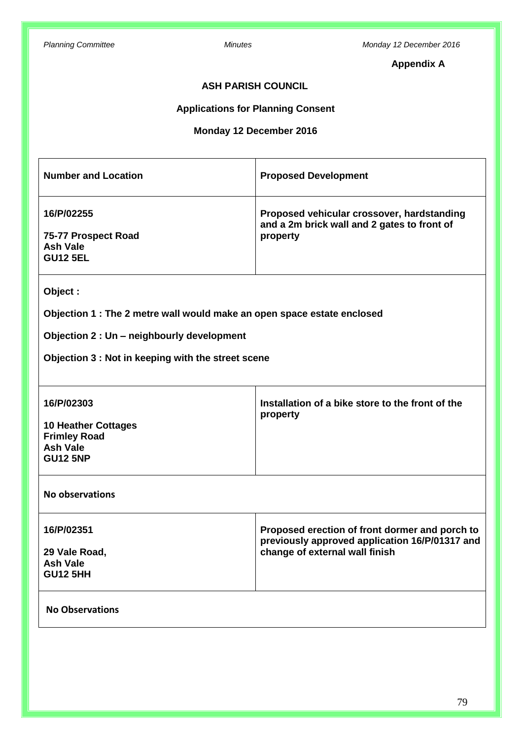# **Appendix A**

## **ASH PARISH COUNCIL**

# **Applications for Planning Consent**

# **Monday 12 December 2016**

| <b>Number and Location</b>                                                                                                                                                             | <b>Proposed Development</b>                                                                                                        |  |  |
|----------------------------------------------------------------------------------------------------------------------------------------------------------------------------------------|------------------------------------------------------------------------------------------------------------------------------------|--|--|
| 16/P/02255<br>75-77 Prospect Road<br><b>Ash Vale</b><br><b>GU12 5EL</b>                                                                                                                | Proposed vehicular crossover, hardstanding<br>and a 2m brick wall and 2 gates to front of<br>property                              |  |  |
| Object:<br>Objection 1 : The 2 metre wall would make an open space estate enclosed<br>Objection 2 : Un - neighbourly development<br>Objection 3 : Not in keeping with the street scene |                                                                                                                                    |  |  |
| 16/P/02303<br><b>10 Heather Cottages</b><br><b>Frimley Road</b><br><b>Ash Vale</b><br><b>GU12 5NP</b>                                                                                  | Installation of a bike store to the front of the<br>property                                                                       |  |  |
| <b>No observations</b>                                                                                                                                                                 |                                                                                                                                    |  |  |
| 16/P/02351<br>29 Vale Road,<br><b>Ash Vale</b><br><b>GU12 5HH</b>                                                                                                                      | Proposed erection of front dormer and porch to<br>previously approved application 16/P/01317 and<br>change of external wall finish |  |  |
| <b>No Observations</b>                                                                                                                                                                 |                                                                                                                                    |  |  |